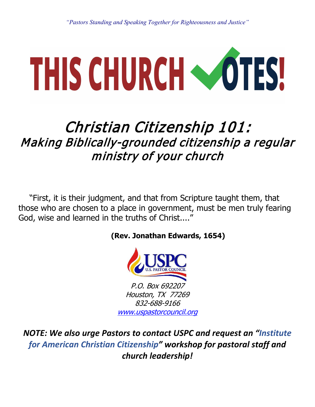# THIS CHURCH COTES!

## Christian Citizenship 101: Making Biblically-grounded citizenship a regular ministry of your church

"First, it is their judgment, and that from Scripture taught them, that those who are chosen to a place in government, must be men truly fearing God, wise and learned in the truths of Christ...."

#### **(Rev. Jonathan Edwards, 1654)**



*NOTE: We also urge Pastors to contact USPC and request an "Institute for American Christian Citizenship" workshop for pastoral staff and church leadership!*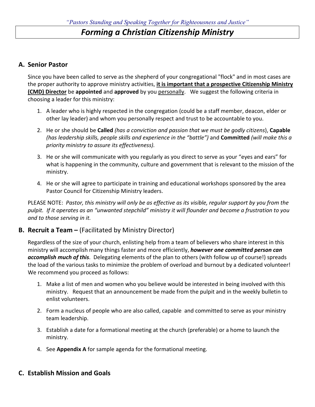#### *Forming a Christian Citizenship Ministry*

#### **A. Senior Pastor**

Since you have been called to serve as the shepherd of your congregational "flock" and in most cases are the proper authority to approve ministry activities, **it is important that a prospective Citizenship Ministry (CMD) Director** be **appointed** and **approved** by you personally. We suggest the following criteria in choosing a leader for this ministry:

- 1. A leader who is highly respected in the congregation (could be a staff member, deacon, elder or other lay leader) and whom you personally respect and trust to be accountable to you.
- 2. He or she should be **Called** *(has a conviction and passion that we must be godly citizens*), **Capable** *(has leadership skills, people skills and experience in the "battle")* and **Committed** *(will make this a priority ministry to assure its effectiveness).*
- 3. He or she will communicate with you regularly as you direct to serve as your "eyes and ears" for what is happening in the community, culture and government that is relevant to the mission of the ministry.
- 4. He or she will agree to participate in training and educational workshops sponsored by the area Pastor Council for Citizenship Ministry leaders.

PLEASE NOTE: *Pastor, this ministry will only be as effective as its visible, regular support by you from the pulpit. If it operates as an "unwanted stepchild" ministry it will flounder and become a frustration to you and to those serving in it.*

#### **B. Recruit a Team –** (Facilitated by Ministry Director)

Regardless of the size of your church, enlisting help from a team of believers who share interest in this ministry will accomplish many things faster and more efficiently, *however one committed person can accomplish much of this*. Delegating elements of the plan to others (with follow up of course!) spreads the load of the various tasks to minimize the problem of overload and burnout by a dedicated volunteer! We recommend you proceed as follows:

- 1. Make a list of men and women who you believe would be interested in being involved with this ministry. Request that an announcement be made from the pulpit and in the weekly bulletin to enlist volunteers.
- 2. Form a nucleus of people who are also called, capable and committed to serve as your ministry team leadership.
- 3. Establish a date for a formational meeting at the church (preferable) or a home to launch the ministry.
- 4. See **Appendix A** for sample agenda for the formational meeting.

#### **C. Establish Mission and Goals**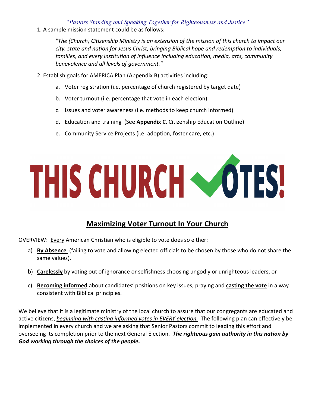1. A sample mission statement could be as follows:

*"The (Church) Citizenship Ministry is an extension of the mission of this church to impact our city, state and nation for Jesus Christ, bringing Biblical hope and redemption to individuals, families, and every institution of influence including education, media, arts, community benevolence and all levels of government."*

- 2. Establish goals for AMERICA Plan (Appendix B) activities including:
	- a. Voter registration (i.e. percentage of church registered by target date)
	- b. Voter turnout (i.e. percentage that vote in each election)
	- c. Issues and voter awareness (i.e. methods to keep church informed)
	- d. Education and training (See **Appendix C**, Citizenship Education Outline)
	- e. Community Service Projects (i.e. adoption, foster care, etc.)

## THIS CHURCH COTES!

#### **Maximizing Voter Turnout In Your Church**

OVERVIEW: Every American Christian who is eligible to vote does so either:

- a) **By Absence** (failing to vote and allowing elected officials to be chosen by those who do not share the same values),
- b) **Carelessly** by voting out of ignorance or selfishness choosing ungodly or unrighteous leaders, or
- c) **Becoming informed** about candidates' positions on key issues, praying and **casting the vote** in a way consistent with Biblical principles.

We believe that it is a legitimate ministry of the local church to assure that our congregants are educated and active citizens, *beginning with casting informed votes in EVERY election.* The following plan can effectively be implemented in every church and we are asking that Senior Pastors commit to leading this effort and overseeing its completion prior to the next General Election. *The righteous gain authority in this nation by God working through the choices of the people.*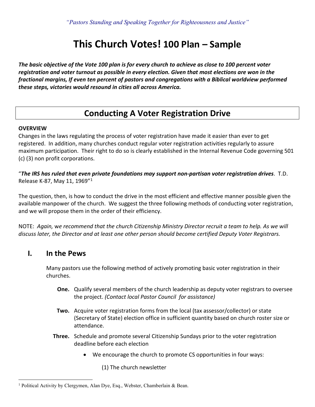## **This Church Votes! 100 Plan – Sample**

*The basic objective of the Vote 100 plan is for every church to achieve as close to 100 percent voter registration and voter turnout as possible in every election. Given that most elections are won in the fractional margins, If even ten percent of pastors and congregations with a Biblical worldview performed these steps, victories would resound in cities all across America.* 

#### **Conducting A Voter Registration Drive**

#### **OVERVIEW**

Changes in the laws regulating the process of voter registration have made it easier than ever to get registered. In addition, many churches conduct regular voter registration activities regularly to assure maximum participation. Their right to do so is clearly established in the Internal Revenue Code governing 501 (c) (3) non profit corporations.

"*The IRS has ruled that even private foundations may support non-partisan voter registration drives*. T.D. Release K-87, May 11, 1969"[1](#page-3-0)

The question, then, is how to conduct the drive in the most efficient and effective manner possible given the available manpower of the church. We suggest the three following methods of conducting voter registration, and we will propose them in the order of their efficiency.

NOTE: *Again,* w*e recommend that the church Citizenship Ministry Director recruit a team to help. As we will discuss later, the Director and at least one other person should become certified Deputy Voter Registrars.*

#### **I. In the Pews**

Many pastors use the following method of actively promoting basic voter registration in their churches.

- **One.** Qualify several members of the church leadership as deputy voter registrars to oversee the project. *(Contact local Pastor Council for assistance)*
- **Two.** Acquire voter registration forms from the local (tax assessor/collector) or state (Secretary of State) election office in sufficient quantity based on church roster size or attendance.
- **Three.** Schedule and promote several Citizenship Sundays prior to the voter registration deadline before each election
	- We encourage the church to promote CS opportunities in four ways:

(1) The church newsletter

<span id="page-3-0"></span><sup>&</sup>lt;sup>1</sup> Political Activity by Clergymen, Alan Dye, Esq., Webster, Chamberlain & Bean.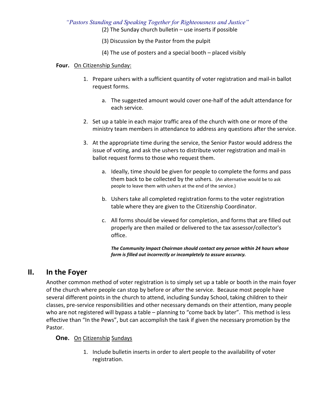(2) The Sunday church bulletin – use inserts if possible

- (3) Discussion by the Pastor from the pulpit
- (4) The use of posters and a special booth placed visibly

#### **Four.** On Citizenship Sunday:

- 1. Prepare ushers with a sufficient quantity of voter registration and mail-in ballot request forms.
	- a. The suggested amount would cover one-half of the adult attendance for each service.
- 2. Set up a table in each major traffic area of the church with one or more of the ministry team members in attendance to address any questions after the service.
- 3. At the appropriate time during the service, the Senior Pastor would address the issue of voting, and ask the ushers to distribute voter registration and mail-in ballot request forms to those who request them.
	- a. Ideally, time should be given for people to complete the forms and pass them back to be collected by the ushers. (An alternative would be to ask people to leave them with ushers at the end of the service.)
	- b. Ushers take all completed registration forms to the voter registration table where they are given to the Citizenship Coordinator.
	- c. All forms should be viewed for completion, and forms that are filled out properly are then mailed or delivered to the tax assessor/collector's office.

*The Community Impact Chairman should contact any person within 24 hours whose form is filled out incorrectly or incompletely to assure accuracy.* 

#### **II. In the Foyer**

Another common method of voter registration is to simply set up a table or booth in the main foyer of the church where people can stop by before or after the service. Because most people have several different points in the church to attend, including Sunday School, taking children to their classes, pre-service responsibilities and other necessary demands on their attention, many people who are not registered will bypass a table – planning to "come back by later". This method is less effective than "In the Pews", but can accomplish the task if given the necessary promotion by the Pastor.

#### **One.** On Citizenship Sundays

1. Include bulletin inserts in order to alert people to the availability of voter registration.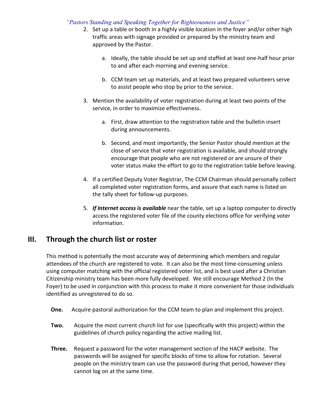- 2. Set up a table or booth in a highly visible location in the foyer and/or other high traffic areas with signage provided or prepared by the ministry team and approved by the Pastor.
	- a. Ideally, the table should be set up and staffed at least one-half hour prior to and after each morning and evening service.
	- b. CCM team set up materials, and at least two prepared volunteers serve to assist people who stop by prior to the service.
- 3. Mention the availability of voter registration during at least two points of the service, in order to maximize effectiveness.
	- a. First, draw attention to the registration table and the bulletin insert during announcements.
	- b. Second, and most importantly, the Senior Pastor should mention at the close of service that voter registration is available, and should strongly encourage that people who are not registered or are unsure of their voter status make the effort to go to the registration table before leaving.
- 4. If a certified Deputy Voter Registrar, The CCM Chairman should personally collect all completed voter registration forms, and assure that each name is listed on the tally sheet for follow-up purposes.
- 5. *If Internet access is available* near the table, set up a laptop computer to directly access the registered voter file of the county elections office for verifying voter information.

#### **III. Through the church list or roster**

This method is potentially the most accurate way of determining which members and regular attendees of the church are registered to vote. It can also be the most time-consuming unless using computer matching with the official registered voter list, and is best used after a Christian Citizenship ministry team has been more fully developed. We still encourage Method 2 (In the Foyer) to be used in conjunction with this process to make it more convenient for those individuals identified as unregistered to do so.

- **One.** Acquire pastoral authorization for the CCM team to plan and implement this project.
- **Two.** Acquire the most current church list for use (specifically with this project) within the guidelines of church policy regarding the active mailing list.
- **Three.** Request a password for the voter management section of the HACP website. The passwords will be assigned for specific blocks of time to allow for rotation. Several people on the ministry team can use the password during that period, however they cannot log on at the same time.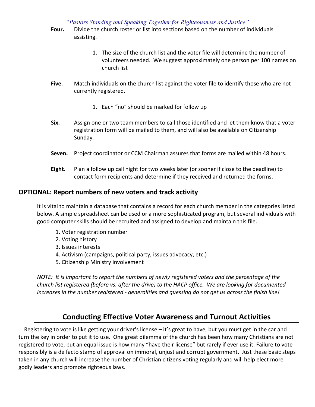- **Four.** Divide the church roster or list into sections based on the number of individuals assisting.
	- 1. The size of the church list and the voter file will determine the number of volunteers needed. We suggest approximately one person per 100 names on church list
- **Five.** Match individuals on the church list against the voter file to identify those who are not currently registered.
	- 1. Each "no" should be marked for follow up
- **Six.** Assign one or two team members to call those identified and let them know that a voter registration form will be mailed to them, and will also be available on Citizenship Sunday.
- **Seven.** Project coordinator or CCM Chairman assures that forms are mailed within 48 hours.
- **Eight.** Plan a follow up call night for two weeks later (or sooner if close to the deadline) to contact form recipients and determine if they received and returned the forms.

#### **OPTIONAL: Report numbers of new voters and track activity**

It is vital to maintain a database that contains a record for each church member in the categories listed below. A simple spreadsheet can be used or a more sophisticated program, but several individuals with good computer skills should be recruited and assigned to develop and maintain this file.

- 1. Voter registration number
- 2. Voting history
- 3. Issues interests
- 4. Activism (campaigns, political party, issues advocacy, etc.)
- 5. Citizenship Ministry involvement

*NOTE: It is important to report the numbers of newly registered voters and the percentage of the church list registered (before vs. after the drive) to the HACP office. We are looking for documented increases in the number registered - generalities and guessing do not get us across the finish line!* 

#### **Conducting Effective Voter Awareness and Turnout Activities**

 Registering to vote is like getting your driver's license – it's great to have, but you must get in the car and turn the key in order to put it to use. One great dilemma of the church has been how many Christians are not registered to vote, but an equal issue is how many "have their license" but rarely if ever use it. Failure to vote responsibly is a de facto stamp of approval on immoral, unjust and corrupt government. Just these basic steps taken in any church will increase the number of Christian citizens voting regularly and will help elect more godly leaders and promote righteous laws.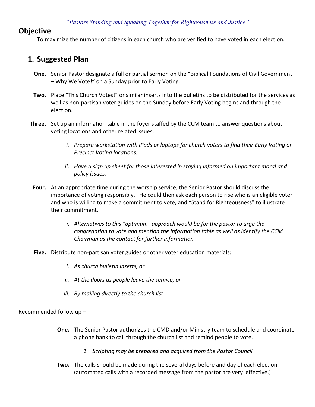#### **Objective**

To maximize the number of citizens in each church who are verified to have voted in each election.

#### **1. Suggested Plan**

- **One.** Senior Pastor designate a full or partial sermon on the "Biblical Foundations of Civil Government – Why We Vote!" on a Sunday prior to Early Voting.
- **Two.** Place "This Church Votes!" or similar inserts into the bulletins to be distributed for the services as well as non-partisan voter guides on the Sunday before Early Voting begins and through the election.
- **Three.** Set up an information table in the foyer staffed by the CCM team to answer questions about voting locations and other related issues.
	- *i. Prepare workstation with iPads or laptops for church voters to find their Early Voting or Precinct Voting locations.*
	- *ii. Have a sign up sheet for those interested in staying informed on important moral and policy issues.*
- **Four.** At an appropriate time during the worship service, the Senior Pastor should discuss the importance of voting responsibly. He could then ask each person to rise who is an eligible voter and who is willing to make a commitment to vote, and "Stand for Righteousness" to illustrate their commitment.
	- *i. Alternatives to this "optimum" approach would be for the pastor to urge the congregation to vote and mention the information table as well as identify the CCM Chairman as the contact for further information.*
- **Five.** Distribute non-partisan voter guides or other voter education materials:
	- *i. As church bulletin inserts, or*
	- *ii. At the doors as people leave the service, or*
	- *iii. By mailing directly to the church list*

Recommended follow up –

- **One.** The Senior Pastor authorizes the CMD and/or Ministry team to schedule and coordinate a phone bank to call through the church list and remind people to vote.
	- *1. Scripting may be prepared and acquired from the Pastor Council*
- **Two.** The calls should be made during the several days before and day of each election. (automated calls with a recorded message from the pastor are very effective.)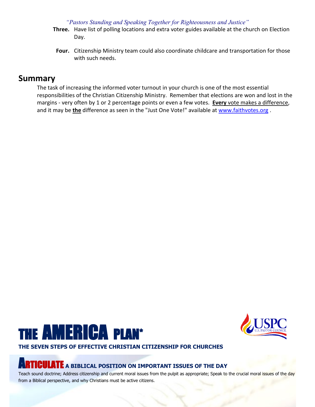- **Three.** Have list of polling locations and extra voter guides available at the church on Election Day.
- **Four.** Citizenship Ministry team could also coordinate childcare and transportation for those with such needs.

#### **Summary**

The task of increasing the informed voter turnout in your church is one of the most essential responsibilities of the Christian Citizenship Ministry. Remember that elections are won and lost in the margins - very often by 1 or 2 percentage points or even a few votes. **Every** vote makes a difference, and it may be **the** difference as seen in the "Just One Vote!" available at [www.faithvotes.org](http://www.faithvotes.org/) .





### **THE SEVEN STEPS OF EFFECTIVE CHRISTIAN CITIZENSHIP FOR CHURCHES**

## [AR](http://www.uspastorcouncil.org/houston/america_plan_a1.htm)TICULATE **A BIBLICAL POSITION ON IMPORTANT ISSUES OF THE DAY**

Teach sound doctrine; Address citizenship and current moral issues from the pulpit as appropriate; Speak to the crucial moral issues of the day from a Biblical perspective, and why Christians must be active citizens.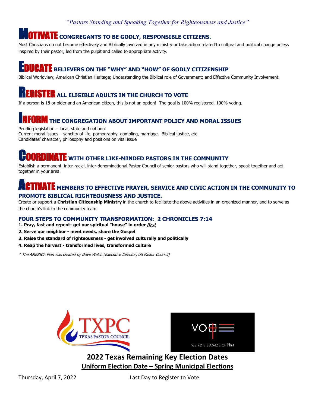#### **ITIVATE** CONGREGANTS TO BE GODLY, RESPONSIBLE CITIZENS.

Most Christians do not become effectively and Biblically involved in any ministry or take action related to cultural and political change unless inspired by their pastor, led from the pulpit and called to appropriate activity.

## **UCATE** BELIEVERS ON THE "WHY" AND "HOW" OF GODLY CITIZENSHIP

Biblical Worldview; American Christian Heritage; Understanding the Biblical role of Government; and Effective Community Involvement.

## **ISTER** ALL ELIGIBLE ADULTS IN THE CHURCH TO VOTE

If a person is 18 or older and an American citizen, this is not an option! The goal is 100% registered, 100% voting.

## THE CONGREGATION ABOUT IMPORTANT POLICY AND MORAL ISSUES

Pending legislation – local, state and national Current moral issues – sanctity of life, pornography, gambling, marriage, Biblical justice, etc. Candidates' character, philosophy and positions on vital issue

## **NATE** WITH OTHER LIKE-MINDED PASTORS IN THE [CO](http://www.uspastorcouncil.org/houston/america_plan_c.htm)MMUNITY

Establish a permanent, inter-racial, inter-denominational Pastor Council of senior pastors who will stand together, speak together and act together in your area.

#### **TATE** MEMBERS TO EFFECTIVE PRAYER, SERVICE AND CIVIC [AC](http://www.uspastorcouncil.org/houston/america_plan_a2.htm)TION IN THE COMMUNITY TO **PROMOTE BIBLICAL RIGHTEOUSNESS AND JUSTICE.**

Create or support a **Christian Citizenship Ministry** in the church to facilitate the above activities in an organized manner, and to serve as the church's link to the community team.

#### **FOUR STEPS TO COMMUNITY TRANSFORMATION: 2 CHRONICLES 7:14**

- **1. Pray, fast and repent- get our spiritual "house" in order** first
- **2. Serve our neighbor meet needs, share the Gospel**
- **3. Raise the standard of righteousness get involved culturally and politically**
- **4. Reap the harvest transformed lives, transformed culture**

\* The AMERICA Plan was created by Dave Welch (Executive Director, US Pastor Council)





**2022 Texas Remaining Key Election Dates Uniform Election Date – Spring Municipal Elections**

Thursday, April 7, 2022 Last Day to Register to Vote